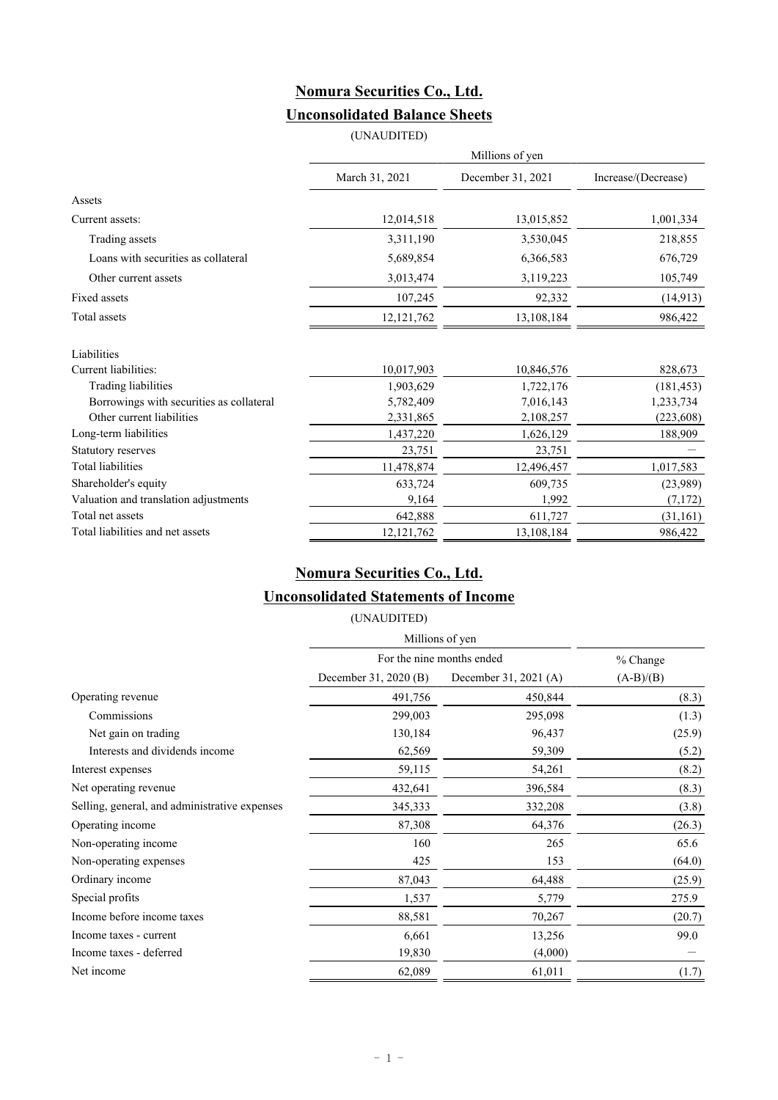## **Nomura Securities Co., Ltd. Unconsolidated Balance Sheets**

(UNAUDITED)

|                                          | Millions of yen |                   |                     |  |
|------------------------------------------|-----------------|-------------------|---------------------|--|
|                                          | March 31, 2021  | December 31, 2021 | Increase/(Decrease) |  |
| Assets                                   |                 |                   |                     |  |
| Current assets:                          | 12,014,518      | 13,015,852        | 1,001,334           |  |
| Trading assets                           | 3,311,190       | 3,530,045         | 218,855             |  |
| Loans with securities as collateral      | 5,689,854       | 6,366,583         | 676,729             |  |
| Other current assets                     | 3,013,474       | 3,119,223         | 105,749             |  |
| Fixed assets                             | 107,245         | 92,332            | (14, 913)           |  |
| Total assets                             | 12, 121, 762    | 13,108,184        | 986,422             |  |
| Liabilities                              |                 |                   |                     |  |
| Current liabilities:                     | 10,017,903      | 10,846,576        | 828,673             |  |
| <b>Trading liabilities</b>               | 1,903,629       | 1,722,176         | (181, 453)          |  |
| Borrowings with securities as collateral | 5,782,409       | 7,016,143         | 1,233,734           |  |
| Other current liabilities                | 2,331,865       | 2,108,257         | (223, 608)          |  |
| Long-term liabilities                    | 1,437,220       | 1,626,129         | 188,909             |  |
| Statutory reserves                       | 23,751          | 23,751            |                     |  |
| <b>Total liabilities</b>                 | 11,478,874      | 12,496,457        | 1,017,583           |  |
| Shareholder's equity                     | 633,724         | 609,735           | (23,989)            |  |
| Valuation and translation adjustments    | 9,164           | 1,992             | (7,172)             |  |
| Total net assets                         | 642,888         | 611,727           | (31, 161)           |  |
| Total liabilities and net assets         | 12,121,762      | 13,108,184        | 986,422             |  |

## **Nomura Securities Co., Ltd.**

### **Unconsolidated Statements of Income**

(UNAUDITED)

|                                               | Millions of yen           |                       |             |
|-----------------------------------------------|---------------------------|-----------------------|-------------|
|                                               | For the nine months ended | % Change              |             |
|                                               | December 31, 2020 (B)     | December 31, 2021 (A) | $(A-B)/(B)$ |
| Operating revenue                             | 491,756                   | 450,844               | (8.3)       |
| Commissions                                   | 299,003                   | 295,098               | (1.3)       |
| Net gain on trading                           | 130,184                   | 96,437                | (25.9)      |
| Interests and dividends income                | 62,569                    | 59,309                | (5.2)       |
| Interest expenses                             | 59,115                    | 54,261                | (8.2)       |
| Net operating revenue                         | 432,641                   | 396,584               | (8.3)       |
| Selling, general, and administrative expenses | 345,333                   | 332,208               | (3.8)       |
| Operating income                              | 87,308                    | 64,376                | (26.3)      |
| Non-operating income                          | 160                       | 265                   | 65.6        |
| Non-operating expenses                        | 425                       | 153                   | (64.0)      |
| Ordinary income                               | 87,043                    | 64,488                | (25.9)      |
| Special profits                               | 1,537                     | 5,779                 | 275.9       |
| Income before income taxes                    | 88,581                    | 70,267                | (20.7)      |
| Income taxes - current                        | 6,661                     | 13,256                | 99.0        |
| Income taxes - deferred                       | 19,830                    | (4,000)               |             |
| Net income                                    | 62,089                    | 61,011                | (1.7)       |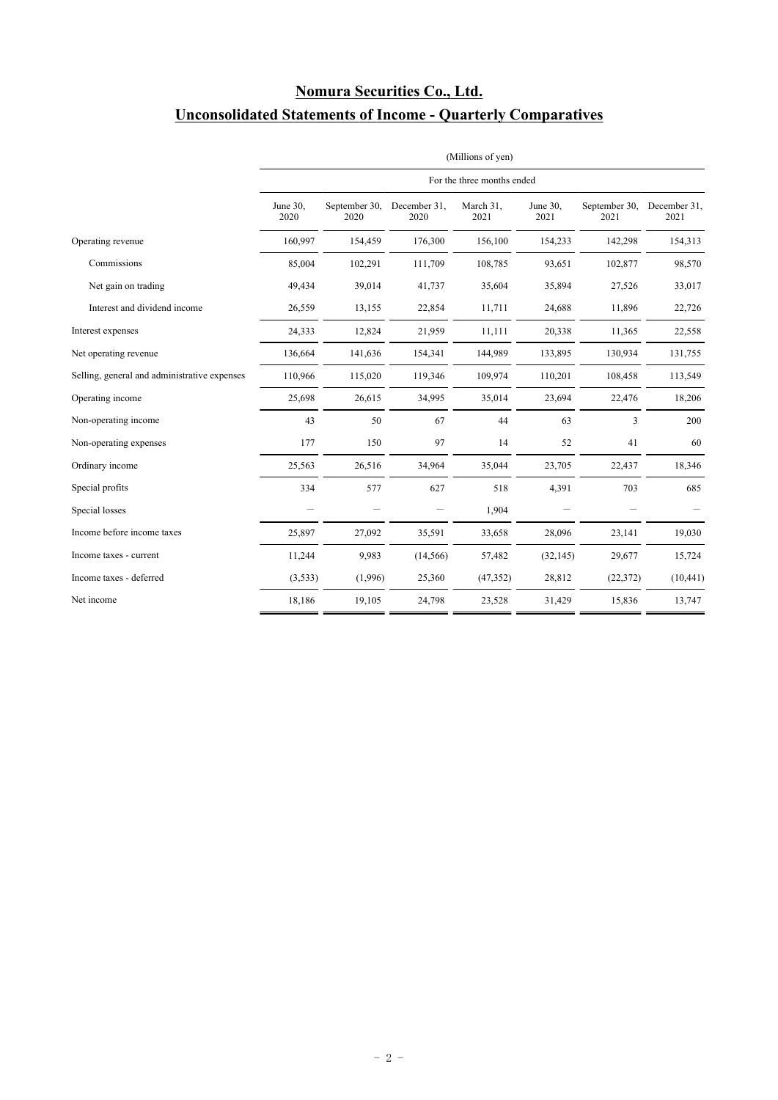# **Nomura Securities Co., Ltd.**

# **Unconsolidated Statements of Income - Quarterly Comparatives**

|                                              | (Millions of yen)<br>For the three months ended |                       |                      |                   |                  |                       |                      |
|----------------------------------------------|-------------------------------------------------|-----------------------|----------------------|-------------------|------------------|-----------------------|----------------------|
|                                              |                                                 |                       |                      |                   |                  |                       |                      |
|                                              | June 30,<br>2020                                | September 30,<br>2020 | December 31,<br>2020 | March 31,<br>2021 | June 30,<br>2021 | September 30,<br>2021 | December 31,<br>2021 |
| Operating revenue                            | 160,997                                         | 154,459               | 176,300              | 156,100           | 154,233          | 142,298               | 154,313              |
| Commissions                                  | 85,004                                          | 102,291               | 111,709              | 108,785           | 93,651           | 102,877               | 98,570               |
| Net gain on trading                          | 49,434                                          | 39,014                | 41,737               | 35,604            | 35,894           | 27,526                | 33,017               |
| Interest and dividend income                 | 26,559                                          | 13,155                | 22,854               | 11,711            | 24,688           | 11,896                | 22,726               |
| Interest expenses                            | 24,333                                          | 12,824                | 21,959               | 11,111            | 20,338           | 11,365                | 22,558               |
| Net operating revenue                        | 136,664                                         | 141,636               | 154,341              | 144,989           | 133,895          | 130,934               | 131,755              |
| Selling, general and administrative expenses | 110,966                                         | 115,020               | 119,346              | 109,974           | 110,201          | 108,458               | 113,549              |
| Operating income                             | 25,698                                          | 26,615                | 34,995               | 35,014            | 23,694           | 22,476                | 18,206               |
| Non-operating income                         | 43                                              | 50                    | 67                   | 44                | 63               | 3                     | 200                  |
| Non-operating expenses                       | 177                                             | 150                   | 97                   | 14                | 52               | 41                    | 60                   |
| Ordinary income                              | 25,563                                          | 26,516                | 34,964               | 35,044            | 23,705           | 22,437                | 18,346               |
| Special profits                              | 334                                             | 577                   | 627                  | 518               | 4,391            | 703                   | 685                  |
| Special losses                               |                                                 |                       |                      | 1,904             |                  |                       |                      |
| Income before income taxes                   | 25,897                                          | 27,092                | 35,591               | 33,658            | 28,096           | 23,141                | 19,030               |
| Income taxes - current                       | 11,244                                          | 9,983                 | (14, 566)            | 57,482            | (32, 145)        | 29,677                | 15,724               |
| Income taxes - deferred                      | (3,533)                                         | (1,996)               | 25,360               | (47, 352)         | 28,812           | (22, 372)             | (10, 441)            |
| Net income                                   | 18,186                                          | 19,105                | 24,798               | 23,528            | 31,429           | 15,836                | 13,747               |